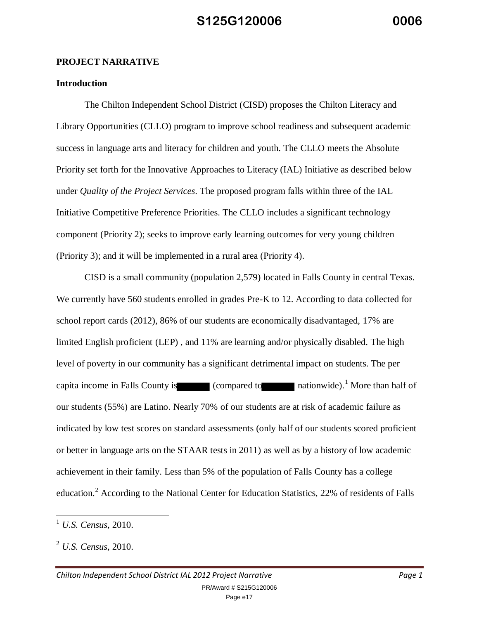#### **PROJECT NARRATIVE**

#### **Introduction**

 The Chilton Independent School District (CISD) proposes the Chilton Literacy and Library Opportunities (CLLO) program to improve school readiness and subsequent academic success in language arts and literacy for children and youth. The CLLO meets the Absolute Priority set forth for the Innovative Approaches to Literacy (IAL) Initiative as described below under *Quality of the Project Services*. The proposed program falls within three of the IAL Initiative Competitive Preference Priorities. The CLLO includes a significant technology component (Priority 2); seeks to improve early learning outcomes for very young children (Priority 3); and it will be implemented in a rural area (Priority 4).

 CISD is a small community (population 2,579) located in Falls County in central Texas. We currently have 560 students enrolled in grades Pre-K to 12. According to data collected for school report cards (2012), 86% of our students are economically disadvantaged, 17% are limited English proficient (LEP) , and 11% are learning and/or physically disabled. The high level of poverty in our community has a significant detrimental impact on students. The per capita income in Falls County is  $\qquad \qquad$  (compared to nationwide).<sup>1</sup> More than half of our students (55%) are Latino. Nearly 70% of our students are at risk of academic failure as indicated by low test scores on standard assessments (only half of our students scored proficient or better in language arts on the STAAR tests in 2011) as well as by a history of low academic achievement in their family. Less than 5% of the population of Falls County has a college education.<sup>2</sup> According to the National Center for Education Statistics, 22% of residents of Falls

<sup>1</sup> *U.S. Census*, 2010.

<sup>2</sup> *U.S. Census*, 2010.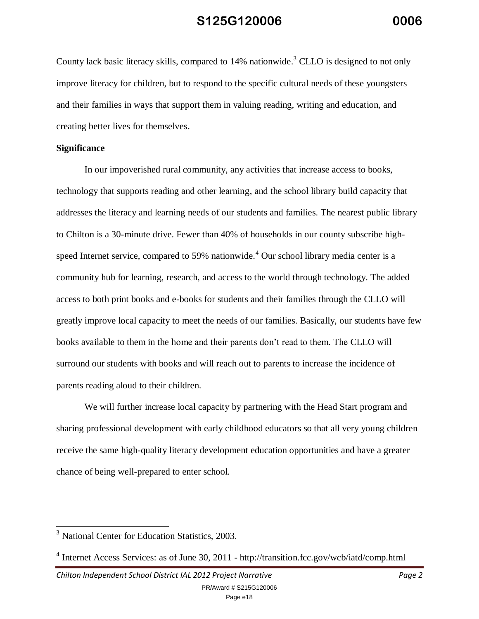County lack basic literacy skills, compared to 14% nationwide.<sup>3</sup> CLLO is designed to not only improve literacy for children, but to respond to the specific cultural needs of these youngsters and their families in ways that support them in valuing reading, writing and education, and creating better lives for themselves.

#### **Significance**

In our impoverished rural community, any activities that increase access to books, technology that supports reading and other learning, and the school library build capacity that addresses the literacy and learning needs of our students and families. The nearest public library to Chilton is a 30-minute drive. Fewer than 40% of households in our county subscribe highspeed Internet service, compared to 59% nationwide.<sup>4</sup> Our school library media center is a community hub for learning, research, and access to the world through technology. The added access to both print books and e-books for students and their families through the CLLO will greatly improve local capacity to meet the needs of our families. Basically, our students have few books available to them in the home and their parents don't read to them. The CLLO will surround our students with books and will reach out to parents to increase the incidence of parents reading aloud to their children.

We will further increase local capacity by partnering with the Head Start program and sharing professional development with early childhood educators so that all very young children receive the same high-quality literacy development education opportunities and have a greater chance of being well-prepared to enter school.

<sup>&</sup>lt;sup>3</sup> National Center for Education Statistics, 2003.

<sup>&</sup>lt;sup>4</sup> Internet Access Services: as of June 30, 2011 - http://transition.fcc.gov/wcb/iatd/comp.html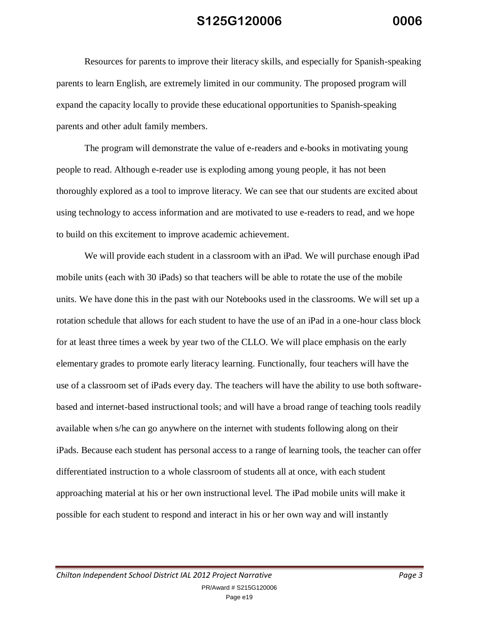Resources for parents to improve their literacy skills, and especially for Spanish-speaking parents to learn English, are extremely limited in our community. The proposed program will expand the capacity locally to provide these educational opportunities to Spanish-speaking parents and other adult family members.

The program will demonstrate the value of e-readers and e-books in motivating young people to read. Although e-reader use is exploding among young people, it has not been thoroughly explored as a tool to improve literacy. We can see that our students are excited about using technology to access information and are motivated to use e-readers to read, and we hope to build on this excitement to improve academic achievement.

We will provide each student in a classroom with an iPad. We will purchase enough iPad mobile units (each with 30 iPads) so that teachers will be able to rotate the use of the mobile units. We have done this in the past with our Notebooks used in the classrooms. We will set up a rotation schedule that allows for each student to have the use of an iPad in a one-hour class block for at least three times a week by year two of the CLLO. We will place emphasis on the early elementary grades to promote early literacy learning. Functionally, four teachers will have the use of a classroom set of iPads every day. The teachers will have the ability to use both softwarebased and internet-based instructional tools; and will have a broad range of teaching tools readily available when s/he can go anywhere on the internet with students following along on their iPads. Because each student has personal access to a range of learning tools, the teacher can offer differentiated instruction to a whole classroom of students all at once, with each student approaching material at his or her own instructional level. The iPad mobile units will make it possible for each student to respond and interact in his or her own way and will instantly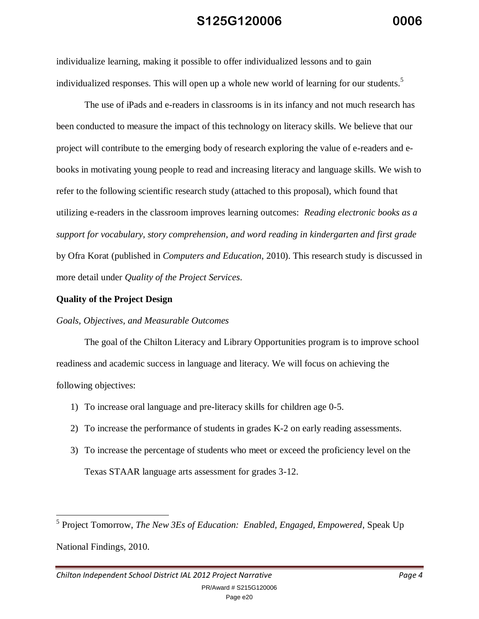individualize learning, making it possible to offer individualized lessons and to gain individualized responses. This will open up a whole new world of learning for our students.<sup>5</sup>

The use of iPads and e-readers in classrooms is in its infancy and not much research has been conducted to measure the impact of this technology on literacy skills. We believe that our project will contribute to the emerging body of research exploring the value of e-readers and ebooks in motivating young people to read and increasing literacy and language skills. We wish to refer to the following scientific research study (attached to this proposal), which found that utilizing e-readers in the classroom improves learning outcomes: *Reading electronic books as a support for vocabulary, story comprehension, and word reading in kindergarten and first grade* by Ofra Korat (published in *Computers and Education*, 2010). This research study is discussed in more detail under *Quality of the Project Services*.

#### **Quality of the Project Design**

#### *Goals, Objectives, and Measurable Outcomes*

The goal of the Chilton Literacy and Library Opportunities program is to improve school readiness and academic success in language and literacy. We will focus on achieving the following objectives:

- 1) To increase oral language and pre-literacy skills for children age 0-5.
- 2) To increase the performance of students in grades K-2 on early reading assessments.
- 3) To increase the percentage of students who meet or exceed the proficiency level on the Texas STAAR language arts assessment for grades 3-12.

 $\overline{a}$ 5 Project Tomorrow, *The New 3Es of Education: Enabled, Engaged, Empowered*, Speak Up National Findings, 2010.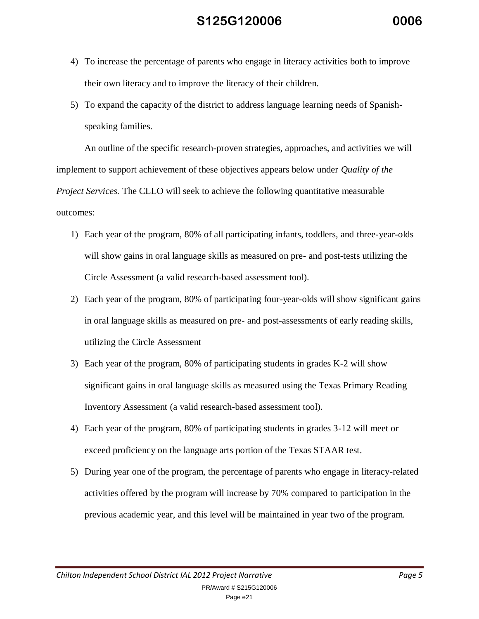- 4) To increase the percentage of parents who engage in literacy activities both to improve their own literacy and to improve the literacy of their children.
- 5) To expand the capacity of the district to address language learning needs of Spanishspeaking families.

An outline of the specific research-proven strategies, approaches, and activities we will implement to support achievement of these objectives appears below under *Quality of the Project Services.* The CLLO will seek to achieve the following quantitative measurable outcomes:

- 1) Each year of the program, 80% of all participating infants, toddlers, and three-year-olds will show gains in oral language skills as measured on pre- and post-tests utilizing the Circle Assessment (a valid research-based assessment tool).
- 2) Each year of the program, 80% of participating four-year-olds will show significant gains in oral language skills as measured on pre- and post-assessments of early reading skills, utilizing the Circle Assessment
- 3) Each year of the program, 80% of participating students in grades K-2 will show significant gains in oral language skills as measured using the Texas Primary Reading Inventory Assessment (a valid research-based assessment tool).
- 4) Each year of the program, 80% of participating students in grades 3-12 will meet or exceed proficiency on the language arts portion of the Texas STAAR test.
- 5) During year one of the program, the percentage of parents who engage in literacy-related activities offered by the program will increase by 70% compared to participation in the previous academic year, and this level will be maintained in year two of the program.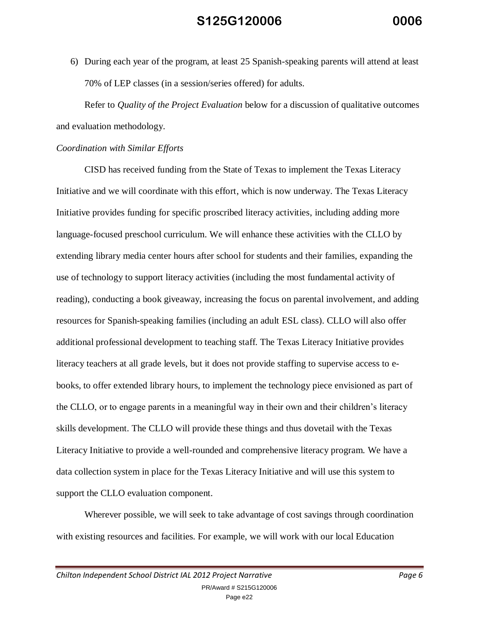6) During each year of the program, at least 25 Spanish-speaking parents will attend at least 70% of LEP classes (in a session/series offered) for adults.

Refer to *Quality of the Project Evaluation* below for a discussion of qualitative outcomes and evaluation methodology.

#### *Coordination with Similar Efforts*

CISD has received funding from the State of Texas to implement the Texas Literacy Initiative and we will coordinate with this effort, which is now underway. The Texas Literacy Initiative provides funding for specific proscribed literacy activities, including adding more language-focused preschool curriculum. We will enhance these activities with the CLLO by extending library media center hours after school for students and their families, expanding the use of technology to support literacy activities (including the most fundamental activity of reading), conducting a book giveaway, increasing the focus on parental involvement, and adding resources for Spanish-speaking families (including an adult ESL class). CLLO will also offer additional professional development to teaching staff. The Texas Literacy Initiative provides literacy teachers at all grade levels, but it does not provide staffing to supervise access to ebooks, to offer extended library hours, to implement the technology piece envisioned as part of the CLLO, or to engage parents in a meaningful way in their own and their children's literacy skills development. The CLLO will provide these things and thus dovetail with the Texas Literacy Initiative to provide a well-rounded and comprehensive literacy program. We have a data collection system in place for the Texas Literacy Initiative and will use this system to support the CLLO evaluation component.

Wherever possible, we will seek to take advantage of cost savings through coordination with existing resources and facilities. For example, we will work with our local Education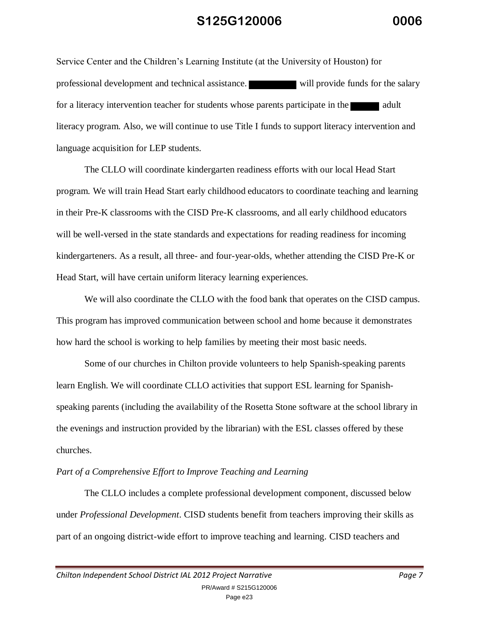Service Center and the Children's Learning Institute (at the University of Houston) for professional development and technical assistance. will provide funds for the salary for a literacy intervention teacher for students whose parents participate in the adult literacy program. Also, we will continue to use Title I funds to support literacy intervention and language acquisition for LEP students.

 The CLLO will coordinate kindergarten readiness efforts with our local Head Start program. We will train Head Start early childhood educators to coordinate teaching and learning in their Pre-K classrooms with the CISD Pre-K classrooms, and all early childhood educators will be well-versed in the state standards and expectations for reading readiness for incoming kindergarteners. As a result, all three- and four-year-olds, whether attending the CISD Pre-K or Head Start, will have certain uniform literacy learning experiences.

 We will also coordinate the CLLO with the food bank that operates on the CISD campus. This program has improved communication between school and home because it demonstrates how hard the school is working to help families by meeting their most basic needs.

 Some of our churches in Chilton provide volunteers to help Spanish-speaking parents learn English. We will coordinate CLLO activities that support ESL learning for Spanishspeaking parents (including the availability of the Rosetta Stone software at the school library in the evenings and instruction provided by the librarian) with the ESL classes offered by these churches.

#### *Part of a Comprehensive Effort to Improve Teaching and Learning*

The CLLO includes a complete professional development component, discussed below under *Professional Development*. CISD students benefit from teachers improving their skills as part of an ongoing district-wide effort to improve teaching and learning. CISD teachers and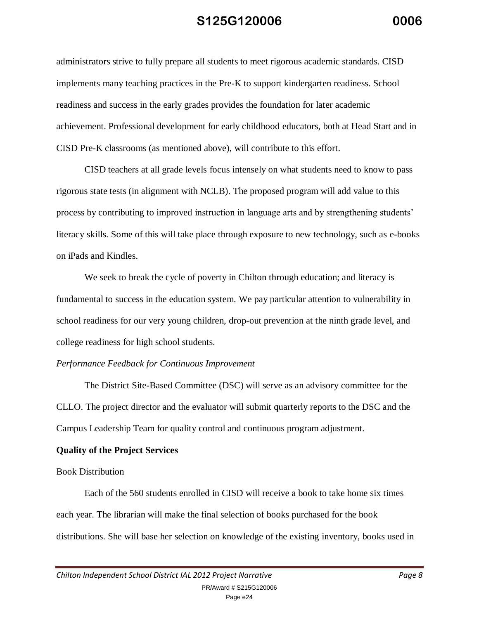administrators strive to fully prepare all students to meet rigorous academic standards. CISD implements many teaching practices in the Pre-K to support kindergarten readiness. School readiness and success in the early grades provides the foundation for later academic achievement. Professional development for early childhood educators, both at Head Start and in CISD Pre-K classrooms (as mentioned above), will contribute to this effort.

CISD teachers at all grade levels focus intensely on what students need to know to pass rigorous state tests (in alignment with NCLB). The proposed program will add value to this process by contributing to improved instruction in language arts and by strengthening students' literacy skills. Some of this will take place through exposure to new technology, such as e-books on iPads and Kindles.

We seek to break the cycle of poverty in Chilton through education; and literacy is fundamental to success in the education system. We pay particular attention to vulnerability in school readiness for our very young children, drop-out prevention at the ninth grade level, and college readiness for high school students.

#### *Performance Feedback for Continuous Improvement*

The District Site-Based Committee (DSC) will serve as an advisory committee for the CLLO. The project director and the evaluator will submit quarterly reports to the DSC and the Campus Leadership Team for quality control and continuous program adjustment.

#### **Quality of the Project Services**

#### Book Distribution

Each of the 560 students enrolled in CISD will receive a book to take home six times each year. The librarian will make the final selection of books purchased for the book distributions. She will base her selection on knowledge of the existing inventory, books used in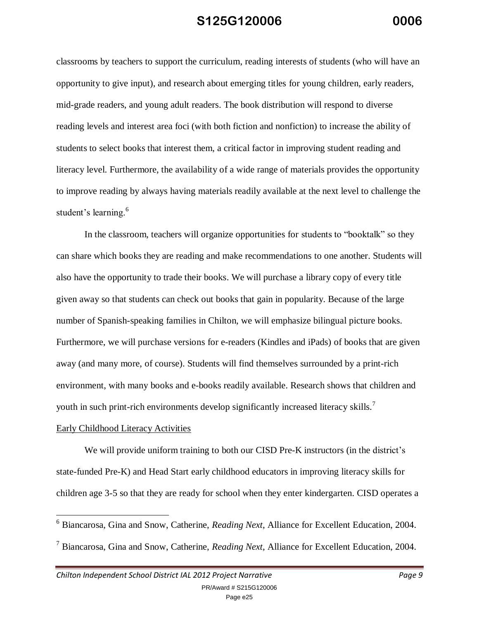classrooms by teachers to support the curriculum, reading interests of students (who will have an opportunity to give input), and research about emerging titles for young children, early readers, mid-grade readers, and young adult readers. The book distribution will respond to diverse reading levels and interest area foci (with both fiction and nonfiction) to increase the ability of students to select books that interest them, a critical factor in improving student reading and literacy level. Furthermore, the availability of a wide range of materials provides the opportunity to improve reading by always having materials readily available at the next level to challenge the student's learning.<sup>6</sup>

In the classroom, teachers will organize opportunities for students to "booktalk" so they can share which books they are reading and make recommendations to one another. Students will also have the opportunity to trade their books. We will purchase a library copy of every title given away so that students can check out books that gain in popularity. Because of the large number of Spanish-speaking families in Chilton, we will emphasize bilingual picture books. Furthermore, we will purchase versions for e-readers (Kindles and iPads) of books that are given away (and many more, of course). Students will find themselves surrounded by a print-rich environment, with many books and e-books readily available. Research shows that children and youth in such print-rich environments develop significantly increased literacy skills.<sup>7</sup>

#### Early Childhood Literacy Activities

 $\overline{a}$ 

We will provide uniform training to both our CISD Pre-K instructors (in the district's state-funded Pre-K) and Head Start early childhood educators in improving literacy skills for children age 3-5 so that they are ready for school when they enter kindergarten. CISD operates a

<sup>6</sup> Biancarosa, Gina and Snow, Catherine, *Reading Next*, Alliance for Excellent Education, 2004. <sup>7</sup> Biancarosa, Gina and Snow, Catherine, *Reading Next*, Alliance for Excellent Education, 2004.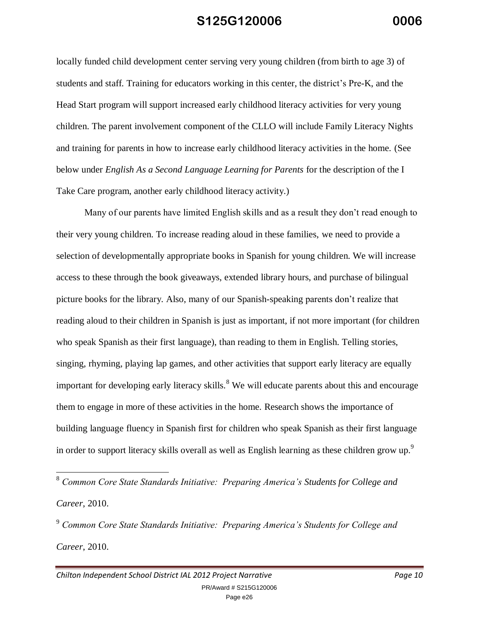locally funded child development center serving very young children (from birth to age 3) of students and staff. Training for educators working in this center, the district's Pre-K, and the Head Start program will support increased early childhood literacy activities for very young children. The parent involvement component of the CLLO will include Family Literacy Nights and training for parents in how to increase early childhood literacy activities in the home. (See below under *English As a Second Language Learning for Parents* for the description of the I Take Care program, another early childhood literacy activity.)

Many of our parents have limited English skills and as a result they don't read enough to their very young children. To increase reading aloud in these families, we need to provide a selection of developmentally appropriate books in Spanish for young children. We will increase access to these through the book giveaways, extended library hours, and purchase of bilingual picture books for the library. Also, many of our Spanish-speaking parents don't realize that reading aloud to their children in Spanish is just as important, if not more important (for children who speak Spanish as their first language), than reading to them in English. Telling stories, singing, rhyming, playing lap games, and other activities that support early literacy are equally important for developing early literacy skills.<sup>8</sup> We will educate parents about this and encourage them to engage in more of these activities in the home. Research shows the importance of building language fluency in Spanish first for children who speak Spanish as their first language in order to support literacy skills overall as well as English learning as these children grow up.<sup>9</sup>

<sup>8</sup> *Common Core State Standards Initiative: Preparing America's Students for College and Career*, 2010.

<sup>9</sup> *Common Core State Standards Initiative: Preparing America's Students for College and Career*, 2010.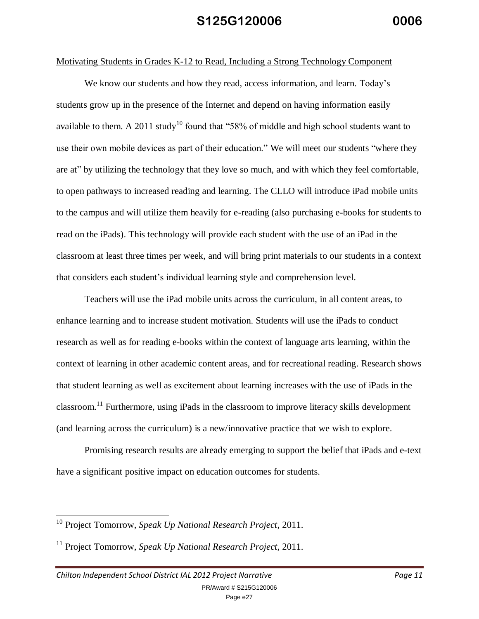#### Motivating Students in Grades K-12 to Read, Including a Strong Technology Component

We know our students and how they read, access information, and learn. Today's students grow up in the presence of the Internet and depend on having information easily available to them. A 2011 study<sup>10</sup> found that "58% of middle and high school students want to use their own mobile devices as part of their education." We will meet our students "where they are at" by utilizing the technology that they love so much, and with which they feel comfortable, to open pathways to increased reading and learning. The CLLO will introduce iPad mobile units to the campus and will utilize them heavily for e-reading (also purchasing e-books for students to read on the iPads). This technology will provide each student with the use of an iPad in the classroom at least three times per week, and will bring print materials to our students in a context that considers each student's individual learning style and comprehension level.

Teachers will use the iPad mobile units across the curriculum, in all content areas, to enhance learning and to increase student motivation. Students will use the iPads to conduct research as well as for reading e-books within the context of language arts learning, within the context of learning in other academic content areas, and for recreational reading. Research shows that student learning as well as excitement about learning increases with the use of iPads in the classroom.<sup>11</sup> Furthermore, using iPads in the classroom to improve literacy skills development (and learning across the curriculum) is a new/innovative practice that we wish to explore.

Promising research results are already emerging to support the belief that iPads and e-text have a significant positive impact on education outcomes for students.

<sup>10</sup> Project Tomorrow, *Speak Up National Research Project*, 2011.

<sup>11</sup> Project Tomorrow, *Speak Up National Research Project*, 2011.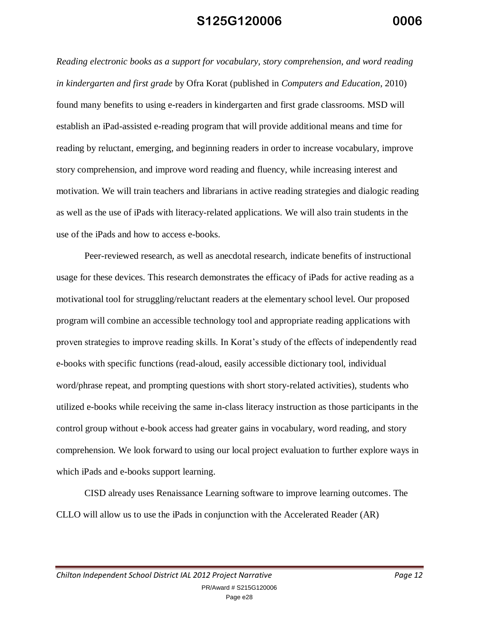*Reading electronic books as a support for vocabulary, story comprehension, and word reading in kindergarten and first grade* by Ofra Korat (published in *Computers and Education*, 2010) found many benefits to using e-readers in kindergarten and first grade classrooms. MSD will establish an iPad-assisted e-reading program that will provide additional means and time for reading by reluctant, emerging, and beginning readers in order to increase vocabulary, improve story comprehension, and improve word reading and fluency, while increasing interest and motivation. We will train teachers and librarians in active reading strategies and dialogic reading as well as the use of iPads with literacy-related applications. We will also train students in the use of the iPads and how to access e-books.

Peer-reviewed research, as well as anecdotal research, indicate benefits of instructional usage for these devices. This research demonstrates the efficacy of iPads for active reading as a motivational tool for struggling/reluctant readers at the elementary school level. Our proposed program will combine an accessible technology tool and appropriate reading applications with proven strategies to improve reading skills. In Korat's study of the effects of independently read e-books with specific functions (read-aloud, easily accessible dictionary tool, individual word/phrase repeat, and prompting questions with short story-related activities), students who utilized e-books while receiving the same in-class literacy instruction as those participants in the control group without e-book access had greater gains in vocabulary, word reading, and story comprehension. We look forward to using our local project evaluation to further explore ways in which iPads and e-books support learning.

CISD already uses Renaissance Learning software to improve learning outcomes. The CLLO will allow us to use the iPads in conjunction with the Accelerated Reader (AR)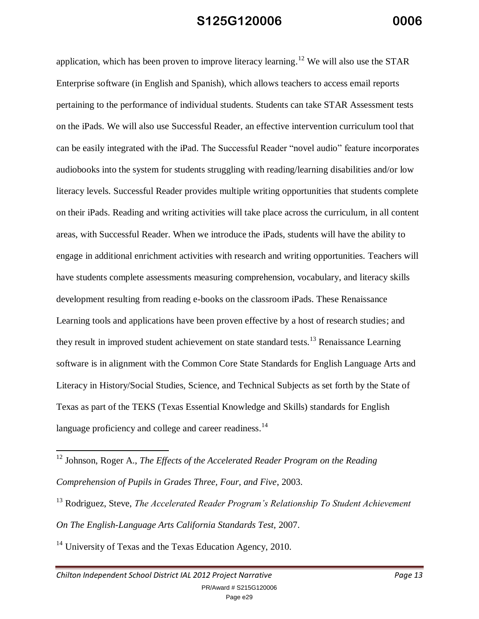application, which has been proven to improve literacy learning.<sup>12</sup> We will also use the STAR Enterprise software (in English and Spanish), which allows teachers to access email reports pertaining to the performance of individual students. Students can take STAR Assessment tests on the iPads. We will also use Successful Reader, an effective intervention curriculum tool that can be easily integrated with the iPad. The Successful Reader "novel audio" feature incorporates audiobooks into the system for students struggling with reading/learning disabilities and/or low literacy levels. Successful Reader provides multiple writing opportunities that students complete on their iPads. Reading and writing activities will take place across the curriculum, in all content areas, with Successful Reader. When we introduce the iPads, students will have the ability to engage in additional enrichment activities with research and writing opportunities. Teachers will have students complete assessments measuring comprehension, vocabulary, and literacy skills development resulting from reading e-books on the classroom iPads. These Renaissance Learning tools and applications have been proven effective by a host of research studies; and they result in improved student achievement on state standard tests.<sup>13</sup> Renaissance Learning software is in alignment with the Common Core State Standards for English Language Arts and Literacy in History/Social Studies, Science, and Technical Subjects as set forth by the State of Texas as part of the TEKS (Texas Essential Knowledge and Skills) standards for English language proficiency and college and career readiness.<sup>14</sup>

 $14$  University of Texas and the Texas Education Agency, 2010.

<sup>&</sup>lt;sup>12</sup> Johnson, Roger A., *The Effects of the Accelerated Reader Program on the Reading Comprehension of Pupils in Grades Three, Four, and Five*, 2003.

<sup>13</sup> Rodriguez, Steve, *The Accelerated Reader Program's Relationship To Student Achievement On The English-Language Arts California Standards Test,* 2007.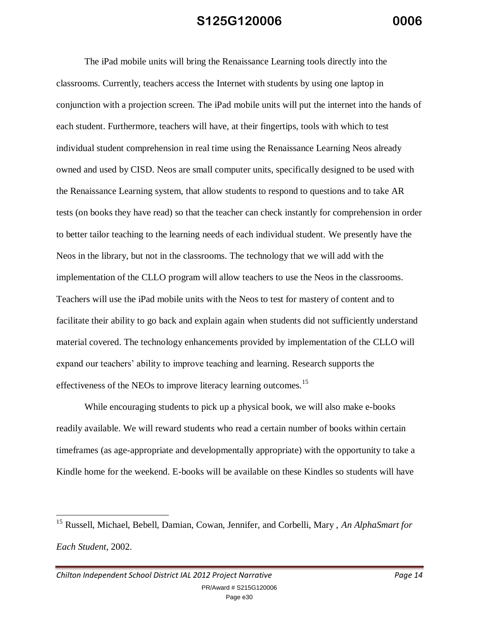The iPad mobile units will bring the Renaissance Learning tools directly into the classrooms. Currently, teachers access the Internet with students by using one laptop in conjunction with a projection screen. The iPad mobile units will put the internet into the hands of each student. Furthermore, teachers will have, at their fingertips, tools with which to test individual student comprehension in real time using the Renaissance Learning Neos already owned and used by CISD. Neos are small computer units, specifically designed to be used with the Renaissance Learning system, that allow students to respond to questions and to take AR tests (on books they have read) so that the teacher can check instantly for comprehension in order to better tailor teaching to the learning needs of each individual student. We presently have the Neos in the library, but not in the classrooms. The technology that we will add with the implementation of the CLLO program will allow teachers to use the Neos in the classrooms. Teachers will use the iPad mobile units with the Neos to test for mastery of content and to facilitate their ability to go back and explain again when students did not sufficiently understand material covered. The technology enhancements provided by implementation of the CLLO will expand our teachers' ability to improve teaching and learning. Research supports the effectiveness of the NEOs to improve literacy learning outcomes.<sup>15</sup>

While encouraging students to pick up a physical book, we will also make e-books readily available. We will reward students who read a certain number of books within certain timeframes (as age-appropriate and developmentally appropriate) with the opportunity to take a Kindle home for the weekend. E-books will be available on these Kindles so students will have

<sup>15</sup> Russell, Michael, Bebell, Damian, Cowan, Jennifer, and Corbelli, Mary , *An AlphaSmart for Each Student*, 2002.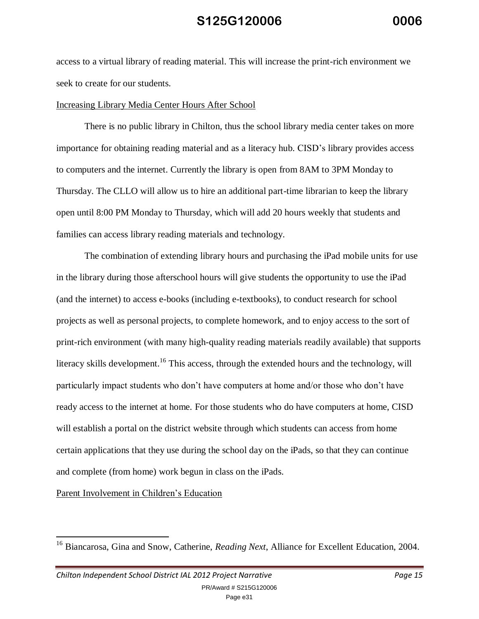access to a virtual library of reading material. This will increase the print-rich environment we seek to create for our students.

#### Increasing Library Media Center Hours After School

There is no public library in Chilton, thus the school library media center takes on more importance for obtaining reading material and as a literacy hub. CISD's library provides access to computers and the internet. Currently the library is open from 8AM to 3PM Monday to Thursday. The CLLO will allow us to hire an additional part-time librarian to keep the library open until 8:00 PM Monday to Thursday, which will add 20 hours weekly that students and families can access library reading materials and technology.

The combination of extending library hours and purchasing the iPad mobile units for use in the library during those afterschool hours will give students the opportunity to use the iPad (and the internet) to access e-books (including e-textbooks), to conduct research for school projects as well as personal projects, to complete homework, and to enjoy access to the sort of print-rich environment (with many high-quality reading materials readily available) that supports literacy skills development.<sup>16</sup> This access, through the extended hours and the technology, will particularly impact students who don't have computers at home and/or those who don't have ready access to the internet at home. For those students who do have computers at home, CISD will establish a portal on the district website through which students can access from home certain applications that they use during the school day on the iPads, so that they can continue and complete (from home) work begun in class on the iPads.

Parent Involvement in Children's Education

<sup>&</sup>lt;sup>16</sup> Biancarosa, Gina and Snow, Catherine, *Reading Next*, Alliance for Excellent Education, 2004.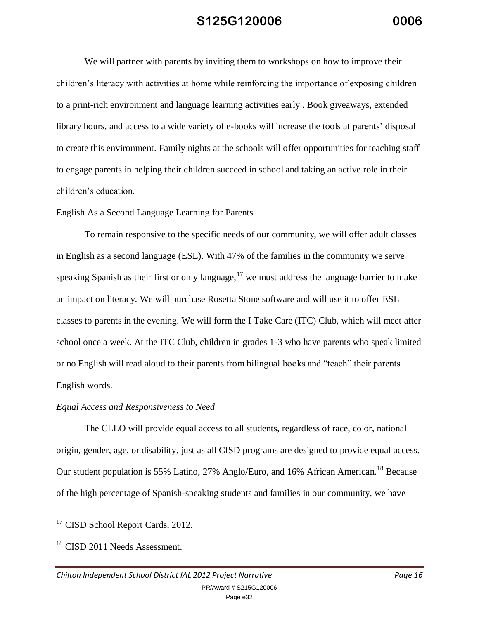We will partner with parents by inviting them to workshops on how to improve their children's literacy with activities at home while reinforcing the importance of exposing children to a print-rich environment and language learning activities early . Book giveaways, extended library hours, and access to a wide variety of e-books will increase the tools at parents' disposal to create this environment. Family nights at the schools will offer opportunities for teaching staff to engage parents in helping their children succeed in school and taking an active role in their children's education.

#### English As a Second Language Learning for Parents

To remain responsive to the specific needs of our community, we will offer adult classes in English as a second language (ESL). With 47% of the families in the community we serve speaking Spanish as their first or only language,  $17$  we must address the language barrier to make an impact on literacy. We will purchase Rosetta Stone software and will use it to offer ESL classes to parents in the evening. We will form the I Take Care (ITC) Club, which will meet after school once a week. At the ITC Club, children in grades 1-3 who have parents who speak limited or no English will read aloud to their parents from bilingual books and "teach" their parents English words.

#### *Equal Access and Responsiveness to Need*

The CLLO will provide equal access to all students, regardless of race, color, national origin, gender, age, or disability, just as all CISD programs are designed to provide equal access. Our student population is 55% Latino, 27% Anglo/Euro, and 16% African American.<sup>18</sup> Because of the high percentage of Spanish-speaking students and families in our community, we have

<sup>&</sup>lt;sup>17</sup> CISD School Report Cards, 2012.

<sup>&</sup>lt;sup>18</sup> CISD 2011 Needs Assessment.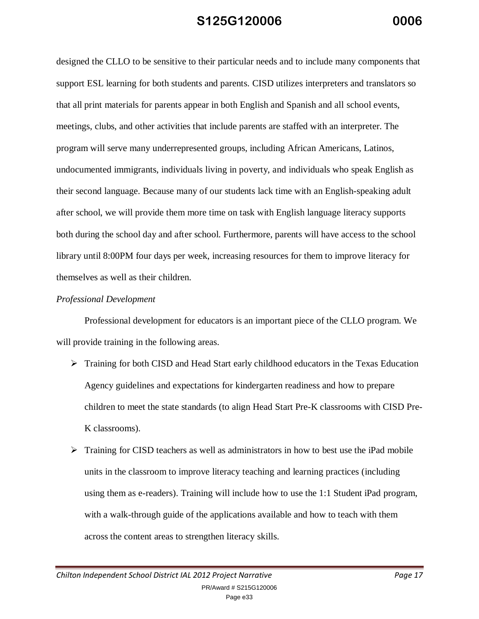designed the CLLO to be sensitive to their particular needs and to include many components that support ESL learning for both students and parents. CISD utilizes interpreters and translators so that all print materials for parents appear in both English and Spanish and all school events, meetings, clubs, and other activities that include parents are staffed with an interpreter. The program will serve many underrepresented groups, including African Americans, Latinos, undocumented immigrants, individuals living in poverty, and individuals who speak English as their second language. Because many of our students lack time with an English-speaking adult after school, we will provide them more time on task with English language literacy supports both during the school day and after school. Furthermore, parents will have access to the school library until 8:00PM four days per week, increasing resources for them to improve literacy for themselves as well as their children.

#### *Professional Development*

Professional development for educators is an important piece of the CLLO program. We will provide training in the following areas.

- $\triangleright$  Training for both CISD and Head Start early childhood educators in the Texas Education Agency guidelines and expectations for kindergarten readiness and how to prepare children to meet the state standards (to align Head Start Pre-K classrooms with CISD Pre-K classrooms).
- $\triangleright$  Training for CISD teachers as well as administrators in how to best use the iPad mobile units in the classroom to improve literacy teaching and learning practices (including using them as e-readers). Training will include how to use the 1:1 Student iPad program, with a walk-through guide of the applications available and how to teach with them across the content areas to strengthen literacy skills.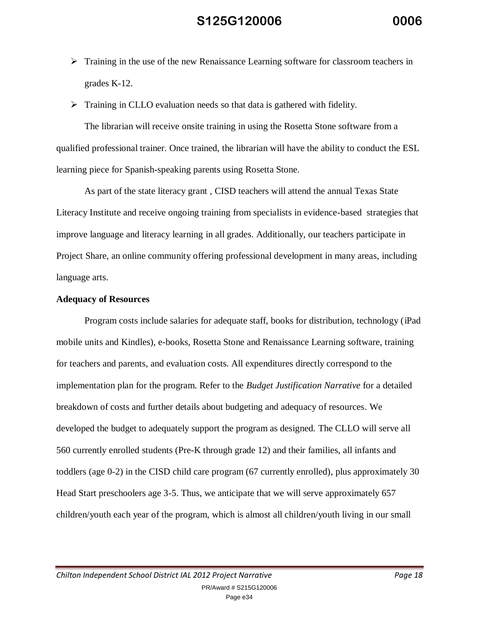- $\triangleright$  Training in the use of the new Renaissance Learning software for classroom teachers in grades K-12.
- $\triangleright$  Training in CLLO evaluation needs so that data is gathered with fidelity.

The librarian will receive onsite training in using the Rosetta Stone software from a qualified professional trainer. Once trained, the librarian will have the ability to conduct the ESL learning piece for Spanish-speaking parents using Rosetta Stone.

As part of the state literacy grant , CISD teachers will attend the annual Texas State Literacy Institute and receive ongoing training from specialists in evidence-based strategies that improve language and literacy learning in all grades. Additionally, our teachers participate in Project Share, an online community offering professional development in many areas, including language arts.

#### **Adequacy of Resources**

Program costs include salaries for adequate staff, books for distribution, technology (iPad mobile units and Kindles), e-books, Rosetta Stone and Renaissance Learning software, training for teachers and parents, and evaluation costs. All expenditures directly correspond to the implementation plan for the program. Refer to the *Budget Justification Narrative* for a detailed breakdown of costs and further details about budgeting and adequacy of resources. We developed the budget to adequately support the program as designed. The CLLO will serve all 560 currently enrolled students (Pre-K through grade 12) and their families, all infants and toddlers (age 0-2) in the CISD child care program (67 currently enrolled), plus approximately 30 Head Start preschoolers age 3-5. Thus, we anticipate that we will serve approximately 657 children/youth each year of the program, which is almost all children/youth living in our small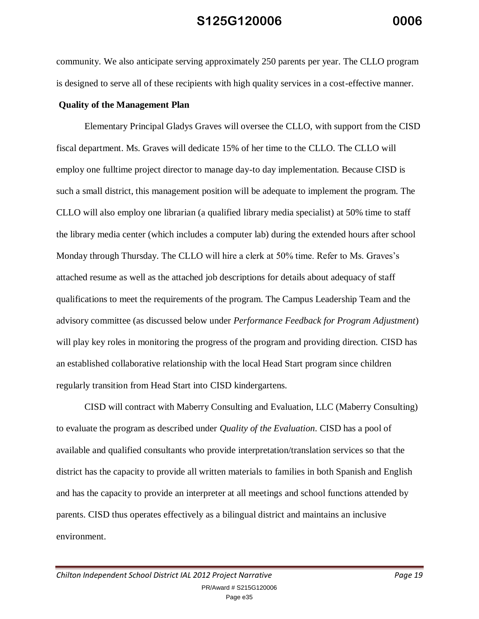community. We also anticipate serving approximately 250 parents per year. The CLLO program is designed to serve all of these recipients with high quality services in a cost-effective manner.

#### **Quality of the Management Plan**

Elementary Principal Gladys Graves will oversee the CLLO, with support from the CISD fiscal department. Ms. Graves will dedicate 15% of her time to the CLLO. The CLLO will employ one fulltime project director to manage day-to day implementation. Because CISD is such a small district, this management position will be adequate to implement the program. The CLLO will also employ one librarian (a qualified library media specialist) at 50% time to staff the library media center (which includes a computer lab) during the extended hours after school Monday through Thursday. The CLLO will hire a clerk at 50% time. Refer to Ms. Graves's attached resume as well as the attached job descriptions for details about adequacy of staff qualifications to meet the requirements of the program. The Campus Leadership Team and the advisory committee (as discussed below under *Performance Feedback for Program Adjustment*) will play key roles in monitoring the progress of the program and providing direction. CISD has an established collaborative relationship with the local Head Start program since children regularly transition from Head Start into CISD kindergartens.

CISD will contract with Maberry Consulting and Evaluation, LLC (Maberry Consulting) to evaluate the program as described under *Quality of the Evaluation*. CISD has a pool of available and qualified consultants who provide interpretation/translation services so that the district has the capacity to provide all written materials to families in both Spanish and English and has the capacity to provide an interpreter at all meetings and school functions attended by parents. CISD thus operates effectively as a bilingual district and maintains an inclusive environment.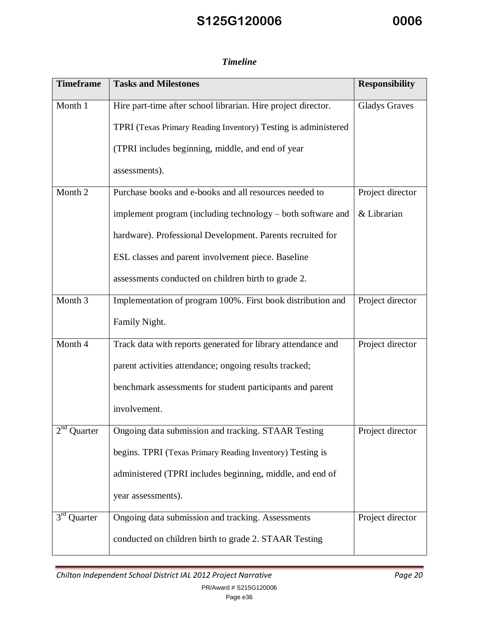### *Timeline*

| <b>Timeframe</b> | <b>Tasks and Milestones</b>                                    | <b>Responsibility</b> |
|------------------|----------------------------------------------------------------|-----------------------|
| Month 1          | Hire part-time after school librarian. Hire project director.  | <b>Gladys Graves</b>  |
|                  | TPRI (Texas Primary Reading Inventory) Testing is administered |                       |
|                  | (TPRI includes beginning, middle, and end of year              |                       |
|                  | assessments).                                                  |                       |
| Month 2          | Purchase books and e-books and all resources needed to         | Project director      |
|                  | implement program (including technology – both software and    | & Librarian           |
|                  | hardware). Professional Development. Parents recruited for     |                       |
|                  | ESL classes and parent involvement piece. Baseline             |                       |
|                  | assessments conducted on children birth to grade 2.            |                       |
| Month 3          | Implementation of program 100%. First book distribution and    | Project director      |
|                  | Family Night.                                                  |                       |
| Month 4          | Track data with reports generated for library attendance and   | Project director      |
|                  | parent activities attendance; ongoing results tracked;         |                       |
|                  | benchmark assessments for student participants and parent      |                       |
|                  | involvement.                                                   |                       |
| $2na$ Quarter    | Ongoing data submission and tracking. STAAR Testing            | Project director      |
|                  | begins. TPRI (Texas Primary Reading Inventory) Testing is      |                       |
|                  | administered (TPRI includes beginning, middle, and end of      |                       |
|                  | year assessments).                                             |                       |
| $3rd$ Quarter    | Ongoing data submission and tracking. Assessments              | Project director      |
|                  | conducted on children birth to grade 2. STAAR Testing          |                       |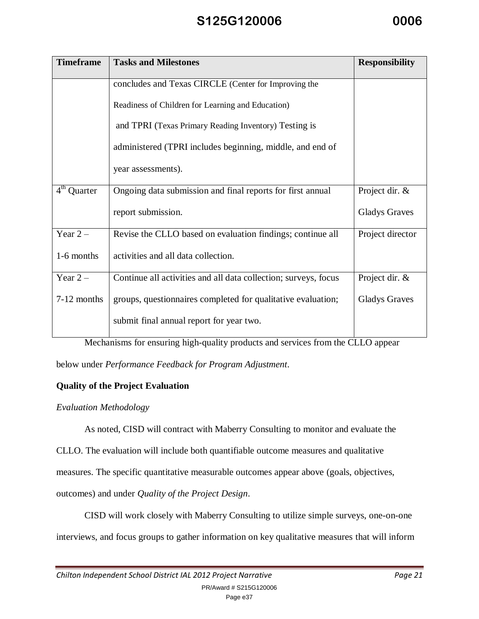| <b>Timeframe</b> | <b>Tasks and Milestones</b>                                     | <b>Responsibility</b> |
|------------------|-----------------------------------------------------------------|-----------------------|
|                  | concludes and Texas CIRCLE (Center for Improving the            |                       |
|                  | Readiness of Children for Learning and Education)               |                       |
|                  | and TPRI (Texas Primary Reading Inventory) Testing is           |                       |
|                  | administered (TPRI includes beginning, middle, and end of       |                       |
|                  | year assessments).                                              |                       |
| $4th$ Quarter    | Ongoing data submission and final reports for first annual      | Project dir. &        |
|                  | report submission.                                              | <b>Gladys Graves</b>  |
| Year $2-$        | Revise the CLLO based on evaluation findings; continue all      | Project director      |
| 1-6 months       | activities and all data collection.                             |                       |
| Year $2-$        | Continue all activities and all data collection; surveys, focus | Project dir. &        |
| 7-12 months      | groups, questionnaires completed for qualitative evaluation;    | <b>Gladys Graves</b>  |
|                  | submit final annual report for year two.                        |                       |

Mechanisms for ensuring high-quality products and services from the CLLO appear

below under *Performance Feedback for Program Adjustment*.

#### **Quality of the Project Evaluation**

#### *Evaluation Methodology*

As noted, CISD will contract with Maberry Consulting to monitor and evaluate the

CLLO. The evaluation will include both quantifiable outcome measures and qualitative

measures. The specific quantitative measurable outcomes appear above (goals, objectives,

outcomes) and under *Quality of the Project Design*.

CISD will work closely with Maberry Consulting to utilize simple surveys, one-on-one interviews, and focus groups to gather information on key qualitative measures that will inform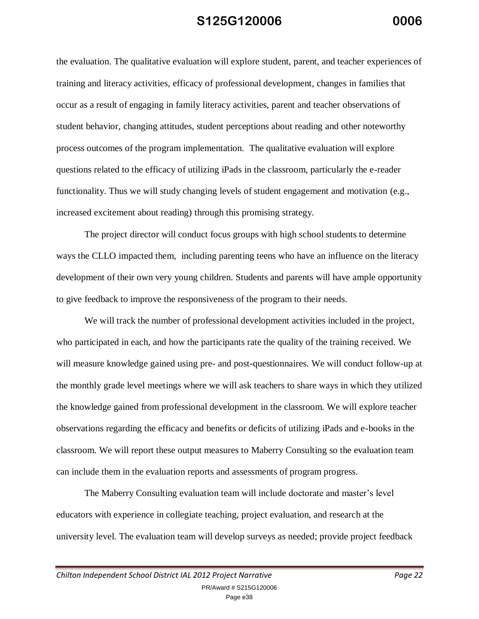the evaluation. The qualitative evaluation will explore student, parent, and teacher experiences of training and literacy activities, efficacy of professional development, changes in families that occur as a result of engaging in family literacy activities, parent and teacher observations of student behavior, changing attitudes, student perceptions about reading and other noteworthy process outcomes of the program implementation. The qualitative evaluation will explore questions related to the efficacy of utilizing iPads in the classroom, particularly the e-reader functionality. Thus we will study changing levels of student engagement and motivation (e.g., increased excitement about reading) through this promising strategy.

The project director will conduct focus groups with high school students to determine ways the CLLO impacted them, including parenting teens who have an influence on the literacy development of their own very young children. Students and parents will have ample opportunity to give feedback to improve the responsiveness of the program to their needs.

We will track the number of professional development activities included in the project, who participated in each, and how the participants rate the quality of the training received. We will measure knowledge gained using pre- and post-questionnaires. We will conduct follow-up at the monthly grade level meetings where we will ask teachers to share ways in which they utilized the knowledge gained from professional development in the classroom. We will explore teacher observations regarding the efficacy and benefits or deficits of utilizing iPads and e-books in the classroom. We will report these output measures to Maberry Consulting so the evaluation team can include them in the evaluation reports and assessments of program progress.

The Maberry Consulting evaluation team will include doctorate and master's level educators with experience in collegiate teaching, project evaluation, and research at the university level. The evaluation team will develop surveys as needed; provide project feedback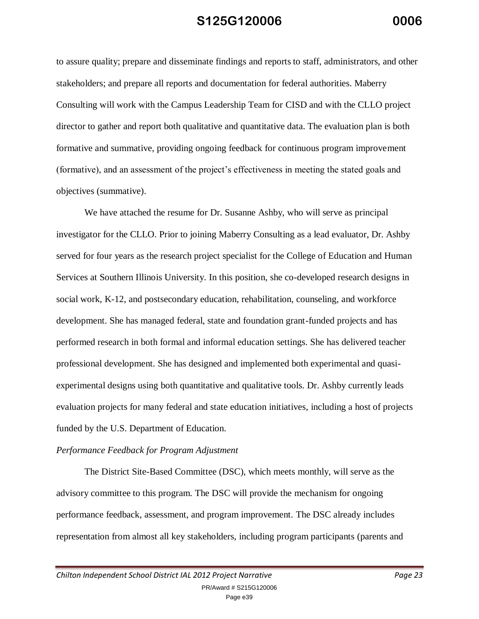to assure quality; prepare and disseminate findings and reports to staff, administrators, and other stakeholders; and prepare all reports and documentation for federal authorities. Maberry Consulting will work with the Campus Leadership Team for CISD and with the CLLO project director to gather and report both qualitative and quantitative data. The evaluation plan is both formative and summative, providing ongoing feedback for continuous program improvement (formative), and an assessment of the project's effectiveness in meeting the stated goals and objectives (summative).

We have attached the resume for Dr. Susanne Ashby, who will serve as principal investigator for the CLLO. Prior to joining Maberry Consulting as a lead evaluator, Dr. Ashby served for four years as the research project specialist for the College of Education and Human Services at Southern Illinois University. In this position, she co-developed research designs in social work, K-12, and postsecondary education, rehabilitation, counseling, and workforce development. She has managed federal, state and foundation grant-funded projects and has performed research in both formal and informal education settings. She has delivered teacher professional development. She has designed and implemented both experimental and quasiexperimental designs using both quantitative and qualitative tools. Dr. Ashby currently leads evaluation projects for many federal and state education initiatives, including a host of projects funded by the U.S. Department of Education.

#### *Performance Feedback for Program Adjustment*

The District Site-Based Committee (DSC), which meets monthly, will serve as the advisory committee to this program. The DSC will provide the mechanism for ongoing performance feedback, assessment, and program improvement. The DSC already includes representation from almost all key stakeholders, including program participants (parents and